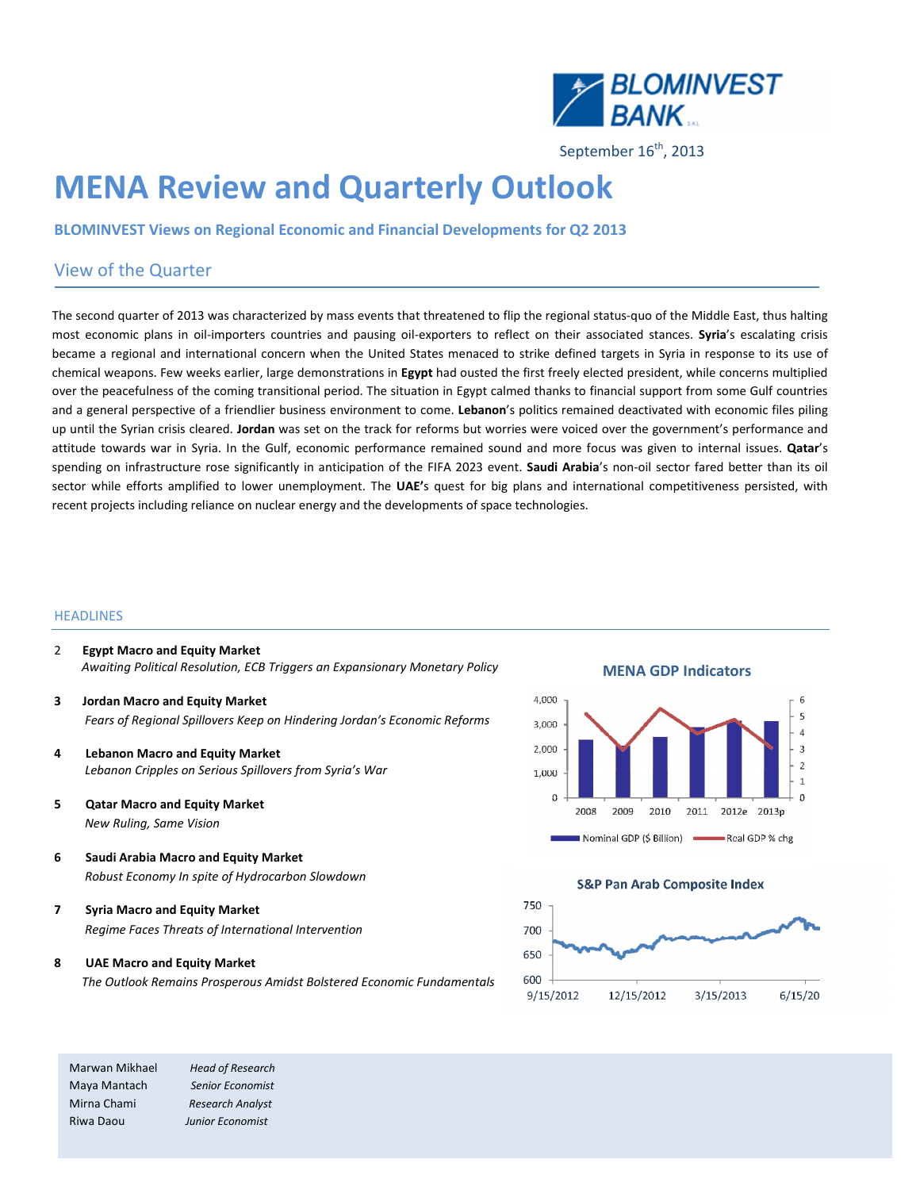

September 16<sup>th</sup>, 2013

# MENA Review and Quarterly Outlook

BLOMINVEST Views on Regional Economic and Financial Developments for Q2 2013

### View of the Quarter

The second quarter of 2013 was characterized by mass events that threatened to flip the regional status-quo of the Middle East, thus halting most economic plans in oil-importers countries and pausing oil-exporters to reflect on their associated stances. Syria's escalating crisis became a regional and international concern when the United States menaced to strike defined targets in Syria in response to its use of chemical weapons. Few weeks earlier, large demonstrations in Egypt had ousted the first freely elected president, while concerns multiplied over the peacefulness of the coming transitional period. The situation in Egypt calmed thanks to financial support from some Gulf countries and a general perspective of a friendlier business environment to come. Lebanon's politics remained deactivated with economic files piling up until the Syrian crisis cleared. Jordan was set on the track for reforms but worries were voiced over the government's performance and attitude towards war in Syria. In the Gulf, economic performance remained sound and more focus was given to internal issues. Qatar's spending on infrastructure rose significantly in anticipation of the FIFA 2023 event. Saudi Arabia's non-oil sector fared better than its oil sector while efforts amplified to lower unemployment. The UAE's quest for big plans and international competitiveness persisted, with recent projects including reliance on nuclear energy and the developments of space technologies.

#### **HEADLINES**

- 2 Egypt Macro and Equity Market Awaiting Political Resolution, ECB Triggers an Expansionary Monetary Policy
- 3 Jordan Macro and Equity Market Fears of Regional Spillovers Keep on Hindering Jordan's Economic Reforms
- 4 Lebanon Macro and Equity Market Lebanon Cripples on Serious Spillovers from Syria's War
- 5 Qatar Macro and Equity Market New Ruling, Same Vision
- 6 Saudi Arabia Macro and Equity Market Robust Economy In spite of Hydrocarbon Slowdown
- 7 Syria Macro and Equity Market Regime Faces Threats of International Intervention
- 8 UAE Macro and Equity Market

The Outlook Remains Prosperous Amidst Bolstered Economic Fundamentals

Marwan Mikhael Head of Research Maya Mantach Senior Economist Mirna Chami Research Analyst Riwa Daou Junior Economist

#### MENA GDP Indicators





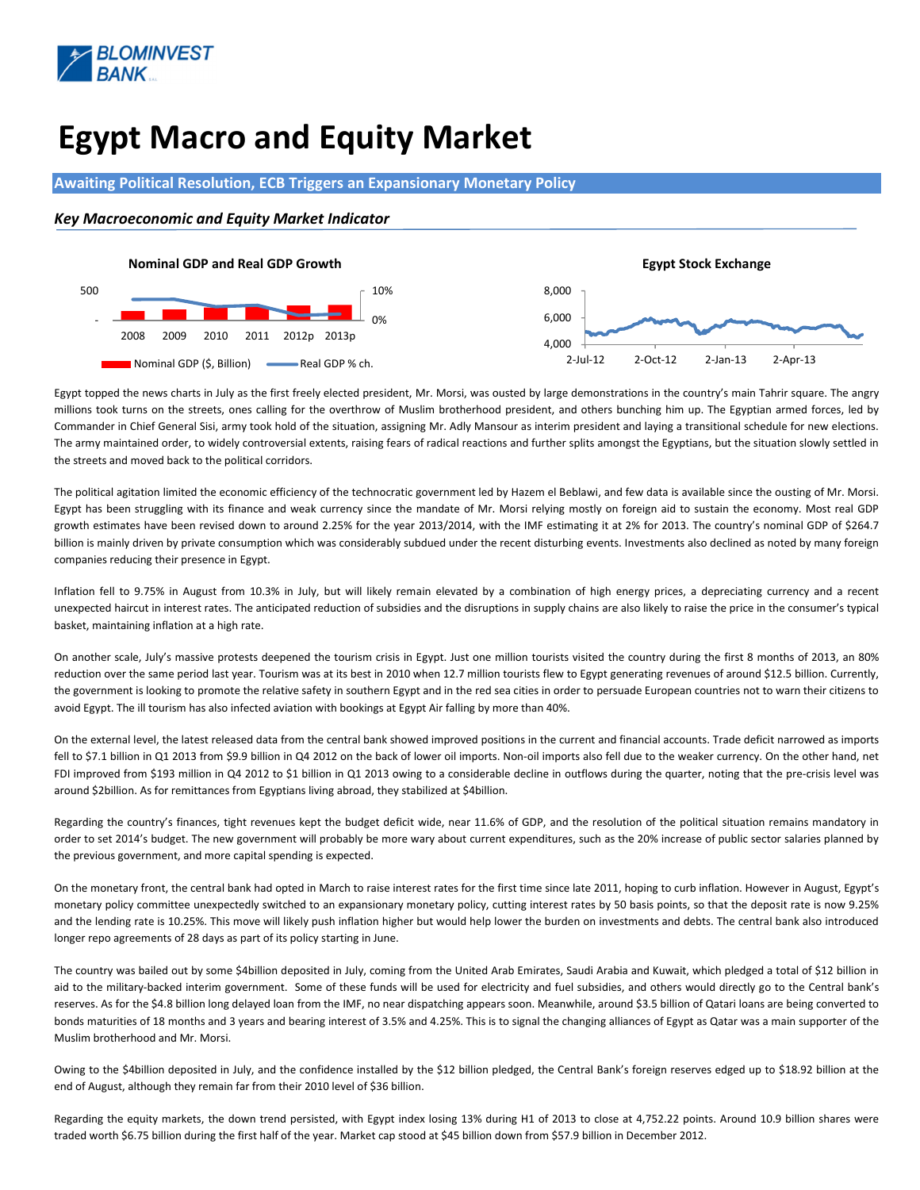

# Egypt Macro and Equity Market

#### Awaiting Political Resolution, ECB Triggers an Expansionary Monetary Policy

#### Key Macroeconomic and Equity Market Indicator



 Egypt topped the news charts in July as the first freely elected president, Mr. Morsi, was ousted by large demonstrations in the country's main Tahrir square. The angry millions took turns on the streets, ones calling for the overthrow of Muslim brotherhood president, and others bunching him up. The Egyptian armed forces, led by Commander in Chief General Sisi, army took hold of the situation, assigning Mr. Adly Mansour as interim president and laying a transitional schedule for new elections. The army maintained order, to widely controversial extents, raising fears of radical reactions and further splits amongst the Egyptians, but the situation slowly settled in the streets and moved back to the political corridors.

The political agitation limited the economic efficiency of the technocratic government led by Hazem el Beblawi, and few data is available since the ousting of Mr. Morsi. Egypt has been struggling with its finance and weak currency since the mandate of Mr. Morsi relying mostly on foreign aid to sustain the economy. Most real GDP growth estimates have been revised down to around 2.25% for the year 2013/2014, with the IMF estimating it at 2% for 2013. The country's nominal GDP of \$264.7 billion is mainly driven by private consumption which was considerably subdued under the recent disturbing events. Investments also declined as noted by many foreign companies reducing their presence in Egypt.

Inflation fell to 9.75% in August from 10.3% in July, but will likely remain elevated by a combination of high energy prices, a depreciating currency and a recent unexpected haircut in interest rates. The anticipated reduction of subsidies and the disruptions in supply chains are also likely to raise the price in the consumer's typical basket, maintaining inflation at a high rate.

On another scale, July's massive protests deepened the tourism crisis in Egypt. Just one million tourists visited the country during the first 8 months of 2013, an 80% reduction over the same period last year. Tourism was at its best in 2010 when 12.7 million tourists flew to Egypt generating revenues of around \$12.5 billion. Currently, the government is looking to promote the relative safety in southern Egypt and in the red sea cities in order to persuade European countries not to warn their citizens to avoid Egypt. The ill tourism has also infected aviation with bookings at Egypt Air falling by more than 40%.

On the external level, the latest released data from the central bank showed improved positions in the current and financial accounts. Trade deficit narrowed as imports fell to \$7.1 billion in Q1 2013 from \$9.9 billion in Q4 2012 on the back of lower oil imports. Non-oil imports also fell due to the weaker currency. On the other hand, net FDI improved from \$193 million in Q4 2012 to \$1 billion in Q1 2013 owing to a considerable decline in outflows during the quarter, noting that the pre-crisis level was around \$2billion. As for remittances from Egyptians living abroad, they stabilized at \$4billion.

Regarding the country's finances, tight revenues kept the budget deficit wide, near 11.6% of GDP, and the resolution of the political situation remains mandatory in order to set 2014's budget. The new government will probably be more wary about current expenditures, such as the 20% increase of public sector salaries planned by the previous government, and more capital spending is expected.

On the monetary front, the central bank had opted in March to raise interest rates for the first time since late 2011, hoping to curb inflation. However in August, Egypt's monetary policy committee unexpectedly switched to an expansionary monetary policy, cutting interest rates by 50 basis points, so that the deposit rate is now 9.25% and the lending rate is 10.25%. This move will likely push inflation higher but would help lower the burden on investments and debts. The central bank also introduced longer repo agreements of 28 days as part of its policy starting in June.

The country was bailed out by some \$4billion deposited in July, coming from the United Arab Emirates, Saudi Arabia and Kuwait, which pledged a total of \$12 billion in aid to the military-backed interim government. Some of these funds will be used for electricity and fuel subsidies, and others would directly go to the Central bank's reserves. As for the \$4.8 billion long delayed loan from the IMF, no near dispatching appears soon. Meanwhile, around \$3.5 billion of Qatari loans are being converted to bonds maturities of 18 months and 3 years and bearing interest of 3.5% and 4.25%. This is to signal the changing alliances of Egypt as Qatar was a main supporter of the Muslim brotherhood and Mr. Morsi.

Owing to the \$4billion deposited in July, and the confidence installed by the \$12 billion pledged, the Central Bank's foreign reserves edged up to \$18.92 billion at the end of August, although they remain far from their 2010 level of \$36 billion.

Regarding the equity markets, the down trend persisted, with Egypt index losing 13% during H1 of 2013 to close at 4,752.22 points. Around 10.9 billion shares were traded worth \$6.75 billion during the first half of the year. Market cap stood at \$45 billion down from \$57.9 billion in December 2012.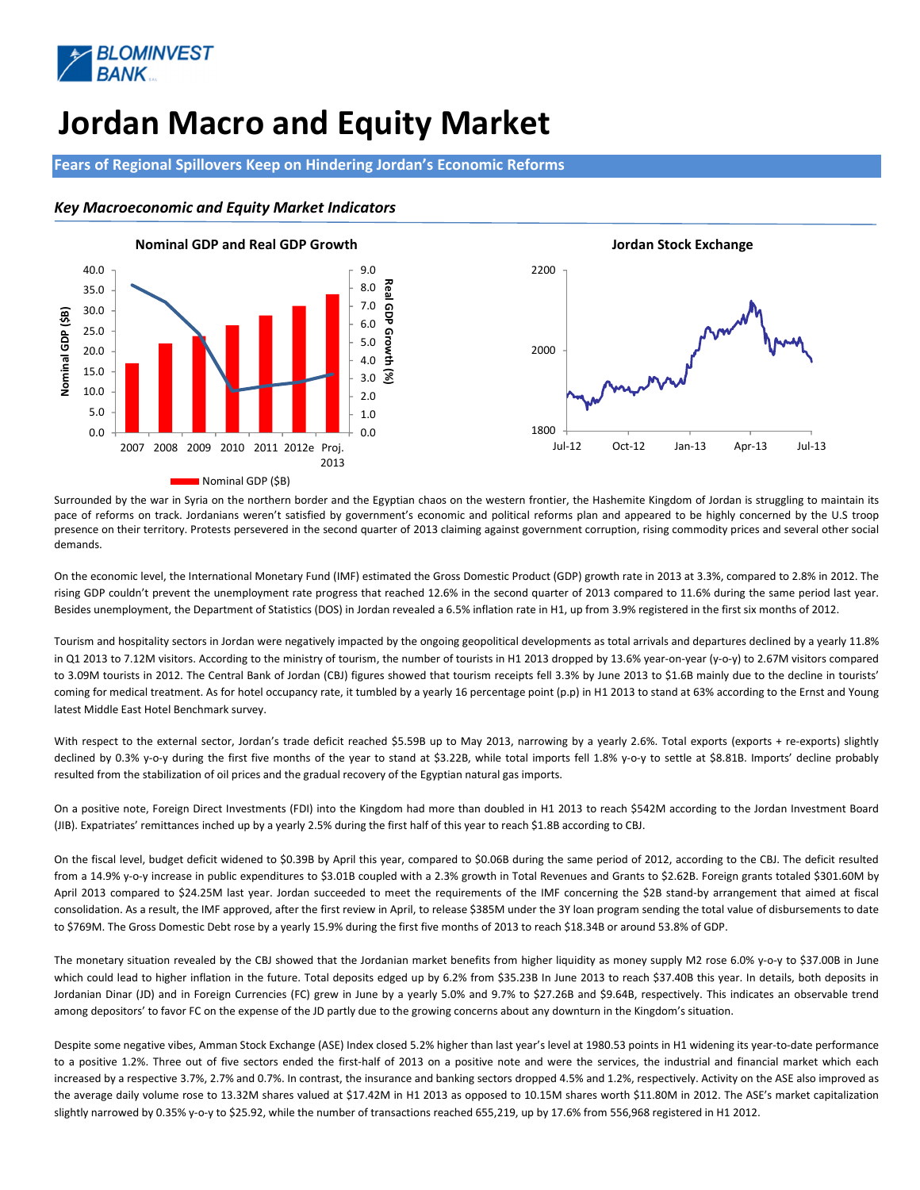

# Jordan Macro and Equity Market

Fears of Regional Spillovers Keep on Hindering Jordan's Economic Reforms

### Key Macroeconomic and Equity Market Indicators



Surrounded by the war in Syria on the northern border and the Egyptian chaos on the western frontier, the Hashemite Kingdom of Jordan is struggling to maintain its pace of reforms on track. Jordanians weren't satisfied by government's economic and political reforms plan and appeared to be highly concerned by the U.S troop presence on their territory. Protests persevered in the second quarter of 2013 claiming against government corruption, rising commodity prices and several other social demands.

On the economic level, the International Monetary Fund (IMF) estimated the Gross Domestic Product (GDP) growth rate in 2013 at 3.3%, compared to 2.8% in 2012. The rising GDP couldn't prevent the unemployment rate progress that reached 12.6% in the second quarter of 2013 compared to 11.6% during the same period last year. Besides unemployment, the Department of Statistics (DOS) in Jordan revealed a 6.5% inflation rate in H1, up from 3.9% registered in the first six months of 2012.

Tourism and hospitality sectors in Jordan were negatively impacted by the ongoing geopolitical developments as total arrivals and departures declined by a yearly 11.8% in Q1 2013 to 7.12M visitors. According to the ministry of tourism, the number of tourists in H1 2013 dropped by 13.6% year-on-year (y-o-y) to 2.67M visitors compared to 3.09M tourists in 2012. The Central Bank of Jordan (CBJ) figures showed that tourism receipts fell 3.3% by June 2013 to \$1.6B mainly due to the decline in tourists' coming for medical treatment. As for hotel occupancy rate, it tumbled by a yearly 16 percentage point (p.p) in H1 2013 to stand at 63% according to the Ernst and Young latest Middle East Hotel Benchmark survey.

With respect to the external sector, Jordan's trade deficit reached \$5.59B up to May 2013, narrowing by a yearly 2.6%. Total exports (exports + re-exports) slightly declined by 0.3% y-o-y during the first five months of the year to stand at \$3.22B, while total imports fell 1.8% y-o-y to settle at \$8.81B. Imports' decline probably resulted from the stabilization of oil prices and the gradual recovery of the Egyptian natural gas imports.

On a positive note, Foreign Direct Investments (FDI) into the Kingdom had more than doubled in H1 2013 to reach \$542M according to the Jordan Investment Board (JIB). Expatriates' remittances inched up by a yearly 2.5% during the first half of this year to reach \$1.8B according to CBJ.

On the fiscal level, budget deficit widened to \$0.39B by April this year, compared to \$0.06B during the same period of 2012, according to the CBJ. The deficit resulted from a 14.9% y-o-y increase in public expenditures to \$3.01B coupled with a 2.3% growth in Total Revenues and Grants to \$2.62B. Foreign grants totaled \$301.60M by April 2013 compared to \$24.25M last year. Jordan succeeded to meet the requirements of the IMF concerning the \$2B stand-by arrangement that aimed at fiscal consolidation. As a result, the IMF approved, after the first review in April, to release \$385M under the 3Y loan program sending the total value of disbursements to date to \$769M. The Gross Domestic Debt rose by a yearly 15.9% during the first five months of 2013 to reach \$18.34B or around 53.8% of GDP.

The monetary situation revealed by the CBJ showed that the Jordanian market benefits from higher liquidity as money supply M2 rose 6.0% y-o-y to \$37.00B in June which could lead to higher inflation in the future. Total deposits edged up by 6.2% from \$35.23B In June 2013 to reach \$37.40B this year. In details, both deposits in Jordanian Dinar (JD) and in Foreign Currencies (FC) grew in June by a yearly 5.0% and 9.7% to \$27.26B and \$9.64B, respectively. This indicates an observable trend among depositors' to favor FC on the expense of the JD partly due to the growing concerns about any downturn in the Kingdom's situation.

Despite some negative vibes, Amman Stock Exchange (ASE) Index closed 5.2% higher than last year's level at 1980.53 points in H1 widening its year-to-date performance to a positive 1.2%. Three out of five sectors ended the first-half of 2013 on a positive note and were the services, the industrial and financial market which each increased by a respective 3.7%, 2.7% and 0.7%. In contrast, the insurance and banking sectors dropped 4.5% and 1.2%, respectively. Activity on the ASE also improved as the average daily volume rose to 13.32M shares valued at \$17.42M in H1 2013 as opposed to 10.15M shares worth \$11.80M in 2012. The ASE's market capitalization slightly narrowed by 0.35% y-o-y to \$25.92, while the number of transactions reached 655,219, up by 17.6% from 556,968 registered in H1 2012.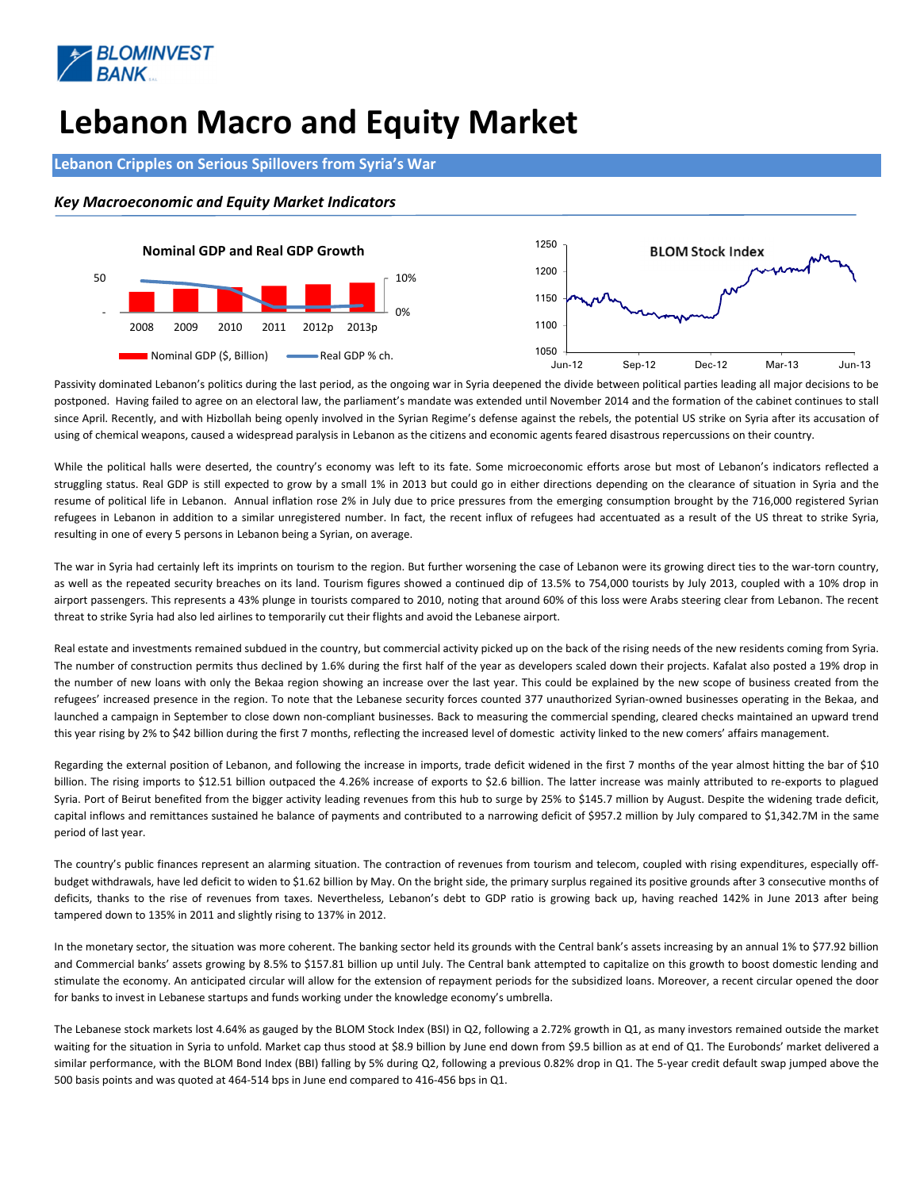

# Lebanon Macro and Equity Market

#### Lebanon Cripples on Serious Spillovers from Syria's War

#### Key Macroeconomic and Equity Market Indicators



Passivity dominated Lebanon's politics during the last period, as the ongoing war in Syria deepened the divide between political parties leading all major decisions to be postponed. Having failed to agree on an electoral law, the parliament's mandate was extended until November 2014 and the formation of the cabinet continues to stall since April. Recently, and with Hizbollah being openly involved in the Syrian Regime's defense against the rebels, the potential US strike on Syria after its accusation of using of chemical weapons, caused a widespread paralysis in Lebanon as the citizens and economic agents feared disastrous repercussions on their country.

While the political halls were deserted, the country's economy was left to its fate. Some microeconomic efforts arose but most of Lebanon's indicators reflected a struggling status. Real GDP is still expected to grow by a small 1% in 2013 but could go in either directions depending on the clearance of situation in Syria and the resume of political life in Lebanon. Annual inflation rose 2% in July due to price pressures from the emerging consumption brought by the 716,000 registered Syrian refugees in Lebanon in addition to a similar unregistered number. In fact, the recent influx of refugees had accentuated as a result of the US threat to strike Syria, resulting in one of every 5 persons in Lebanon being a Syrian, on average.

The war in Syria had certainly left its imprints on tourism to the region. But further worsening the case of Lebanon were its growing direct ties to the war-torn country, as well as the repeated security breaches on its land. Tourism figures showed a continued dip of 13.5% to 754,000 tourists by July 2013, coupled with a 10% drop in airport passengers. This represents a 43% plunge in tourists compared to 2010, noting that around 60% of this loss were Arabs steering clear from Lebanon. The recent threat to strike Syria had also led airlines to temporarily cut their flights and avoid the Lebanese airport.

Real estate and investments remained subdued in the country, but commercial activity picked up on the back of the rising needs of the new residents coming from Syria. The number of construction permits thus declined by 1.6% during the first half of the year as developers scaled down their projects. Kafalat also posted a 19% drop in the number of new loans with only the Bekaa region showing an increase over the last year. This could be explained by the new scope of business created from the refugees' increased presence in the region. To note that the Lebanese security forces counted 377 unauthorized Syrian-owned businesses operating in the Bekaa, and launched a campaign in September to close down non-compliant businesses. Back to measuring the commercial spending, cleared checks maintained an upward trend this year rising by 2% to \$42 billion during the first 7 months, reflecting the increased level of domestic activity linked to the new comers' affairs management.

Regarding the external position of Lebanon, and following the increase in imports, trade deficit widened in the first 7 months of the year almost hitting the bar of \$10 billion. The rising imports to \$12.51 billion outpaced the 4.26% increase of exports to \$2.6 billion. The latter increase was mainly attributed to re-exports to plagued Syria. Port of Beirut benefited from the bigger activity leading revenues from this hub to surge by 25% to \$145.7 million by August. Despite the widening trade deficit, capital inflows and remittances sustained he balance of payments and contributed to a narrowing deficit of \$957.2 million by July compared to \$1,342.7M in the same period of last year.

The country's public finances represent an alarming situation. The contraction of revenues from tourism and telecom, coupled with rising expenditures, especially offbudget withdrawals, have led deficit to widen to \$1.62 billion by May. On the bright side, the primary surplus regained its positive grounds after 3 consecutive months of deficits, thanks to the rise of revenues from taxes. Nevertheless, Lebanon's debt to GDP ratio is growing back up, having reached 142% in June 2013 after being tampered down to 135% in 2011 and slightly rising to 137% in 2012.

In the monetary sector, the situation was more coherent. The banking sector held its grounds with the Central bank's assets increasing by an annual 1% to \$77.92 billion and Commercial banks' assets growing by 8.5% to \$157.81 billion up until July. The Central bank attempted to capitalize on this growth to boost domestic lending and stimulate the economy. An anticipated circular will allow for the extension of repayment periods for the subsidized loans. Moreover, a recent circular opened the door for banks to invest in Lebanese startups and funds working under the knowledge economy's umbrella.

The Lebanese stock markets lost 4.64% as gauged by the BLOM Stock Index (BSI) in Q2, following a 2.72% growth in Q1, as many investors remained outside the market waiting for the situation in Syria to unfold. Market cap thus stood at \$8.9 billion by June end down from \$9.5 billion as at end of Q1. The Eurobonds' market delivered a similar performance, with the BLOM Bond Index (BBI) falling by 5% during Q2, following a previous 0.82% drop in Q1. The 5-year credit default swap jumped above the 500 basis points and was quoted at 464-514 bps in June end compared to 416-456 bps in Q1.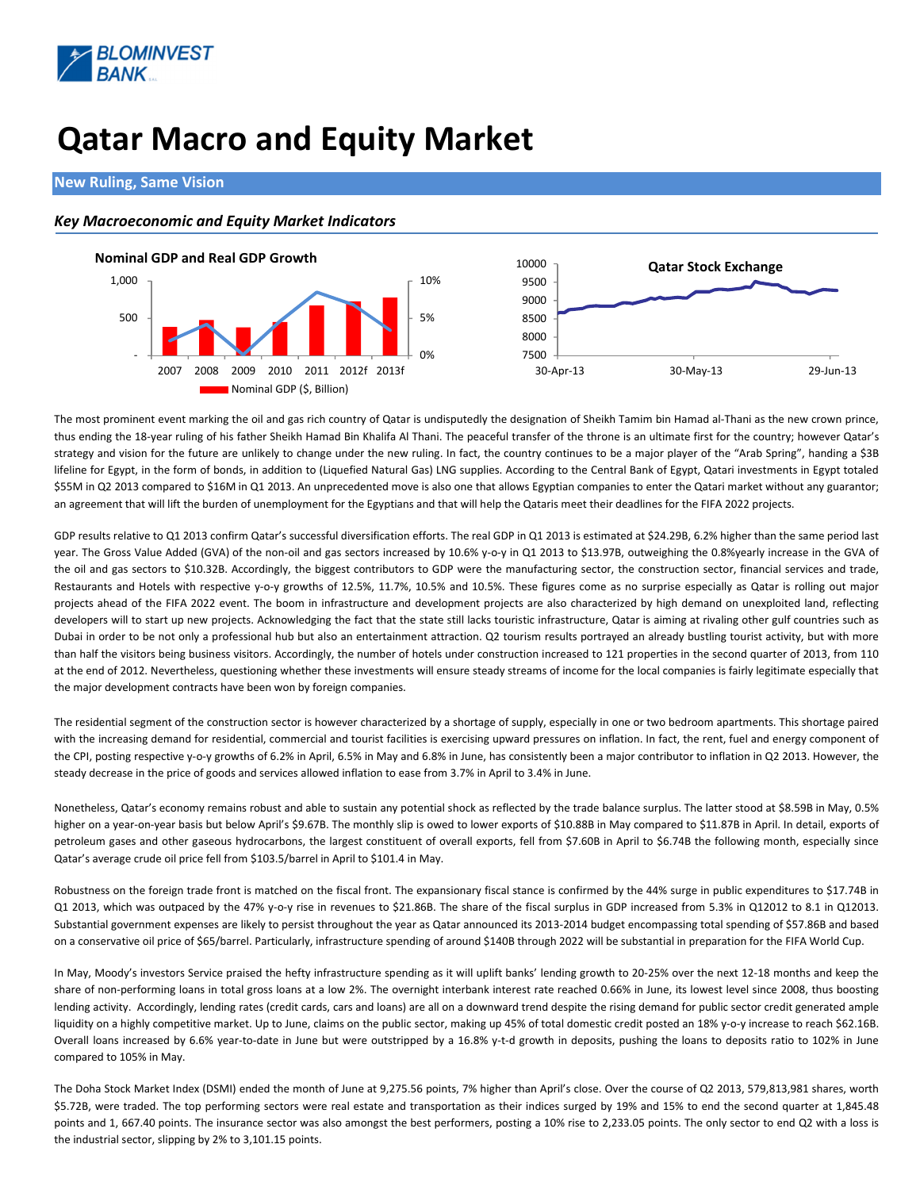![](_page_4_Picture_0.jpeg)

# Qatar Macro and Equity Market

#### New Ruling, Same Vision

### Key Macroeconomic and Equity Market Indicators

![](_page_4_Figure_4.jpeg)

The most prominent event marking the oil and gas rich country of Qatar is undisputedly the designation of Sheikh Tamim bin Hamad al-Thani as the new crown prince, thus ending the 18-year ruling of his father Sheikh Hamad Bin Khalifa Al Thani. The peaceful transfer of the throne is an ultimate first for the country; however Qatar's strategy and vision for the future are unlikely to change under the new ruling. In fact, the country continues to be a major player of the "Arab Spring", handing a \$3B lifeline for Egypt, in the form of bonds, in addition to (Liquefied Natural Gas) LNG supplies. According to the Central Bank of Egypt, Qatari investments in Egypt totaled \$55M in Q2 2013 compared to \$16M in Q1 2013. An unprecedented move is also one that allows Egyptian companies to enter the Qatari market without any guarantor; an agreement that will lift the burden of unemployment for the Egyptians and that will help the Qataris meet their deadlines for the FIFA 2022 projects.

GDP results relative to Q1 2013 confirm Qatar's successful diversification efforts. The real GDP in Q1 2013 is estimated at \$24.29B, 6.2% higher than the same period last year. The Gross Value Added (GVA) of the non-oil and gas sectors increased by 10.6% y-o-y in Q1 2013 to \$13.97B, outweighing the 0.8%yearly increase in the GVA of the oil and gas sectors to \$10.32B. Accordingly, the biggest contributors to GDP were the manufacturing sector, the construction sector, financial services and trade, Restaurants and Hotels with respective y-o-y growths of 12.5%, 11.7%, 10.5% and 10.5%. These figures come as no surprise especially as Qatar is rolling out major projects ahead of the FIFA 2022 event. The boom in infrastructure and development projects are also characterized by high demand on unexploited land, reflecting developers will to start up new projects. Acknowledging the fact that the state still lacks touristic infrastructure, Qatar is aiming at rivaling other gulf countries such as Dubai in order to be not only a professional hub but also an entertainment attraction. Q2 tourism results portrayed an already bustling tourist activity, but with more than half the visitors being business visitors. Accordingly, the number of hotels under construction increased to 121 properties in the second quarter of 2013, from 110 at the end of 2012. Nevertheless, questioning whether these investments will ensure steady streams of income for the local companies is fairly legitimate especially that the major development contracts have been won by foreign companies.

The residential segment of the construction sector is however characterized by a shortage of supply, especially in one or two bedroom apartments. This shortage paired with the increasing demand for residential, commercial and tourist facilities is exercising upward pressures on inflation. In fact, the rent, fuel and energy component of the CPI, posting respective y-o-y growths of 6.2% in April, 6.5% in May and 6.8% in June, has consistently been a major contributor to inflation in Q2 2013. However, the steady decrease in the price of goods and services allowed inflation to ease from 3.7% in April to 3.4% in June.

Nonetheless, Qatar's economy remains robust and able to sustain any potential shock as reflected by the trade balance surplus. The latter stood at \$8.59B in May, 0.5% higher on a year-on-year basis but below April's \$9.67B. The monthly slip is owed to lower exports of \$10.88B in May compared to \$11.87B in April. In detail, exports of petroleum gases and other gaseous hydrocarbons, the largest constituent of overall exports, fell from \$7.60B in April to \$6.74B the following month, especially since Qatar's average crude oil price fell from \$103.5/barrel in April to \$101.4 in May.

Robustness on the foreign trade front is matched on the fiscal front. The expansionary fiscal stance is confirmed by the 44% surge in public expenditures to \$17.74B in Q1 2013, which was outpaced by the 47% y-o-y rise in revenues to \$21.86B. The share of the fiscal surplus in GDP increased from 5.3% in Q12012 to 8.1 in Q12013. Substantial government expenses are likely to persist throughout the year as Qatar announced its 2013-2014 budget encompassing total spending of \$57.86B and based on a conservative oil price of \$65/barrel. Particularly, infrastructure spending of around \$140B through 2022 will be substantial in preparation for the FIFA World Cup.

In May, Moody's investors Service praised the hefty infrastructure spending as it will uplift banks' lending growth to 20-25% over the next 12-18 months and keep the share of non-performing loans in total gross loans at a low 2%. The overnight interbank interest rate reached 0.66% in June, its lowest level since 2008, thus boosting lending activity. Accordingly, lending rates (credit cards, cars and loans) are all on a downward trend despite the rising demand for public sector credit generated ample liquidity on a highly competitive market. Up to June, claims on the public sector, making up 45% of total domestic credit posted an 18% y-o-y increase to reach \$62.16B. Overall loans increased by 6.6% year-to-date in June but were outstripped by a 16.8% y-t-d growth in deposits, pushing the loans to deposits ratio to 102% in June compared to 105% in May.

The Doha Stock Market Index (DSMI) ended the month of June at 9,275.56 points, 7% higher than April's close. Over the course of Q2 2013, 579,813,981 shares, worth \$5.72B, were traded. The top performing sectors were real estate and transportation as their indices surged by 19% and 15% to end the second quarter at 1,845.48 points and 1, 667.40 points. The insurance sector was also amongst the best performers, posting a 10% rise to 2,233.05 points. The only sector to end Q2 with a loss is the industrial sector, slipping by 2% to 3,101.15 points.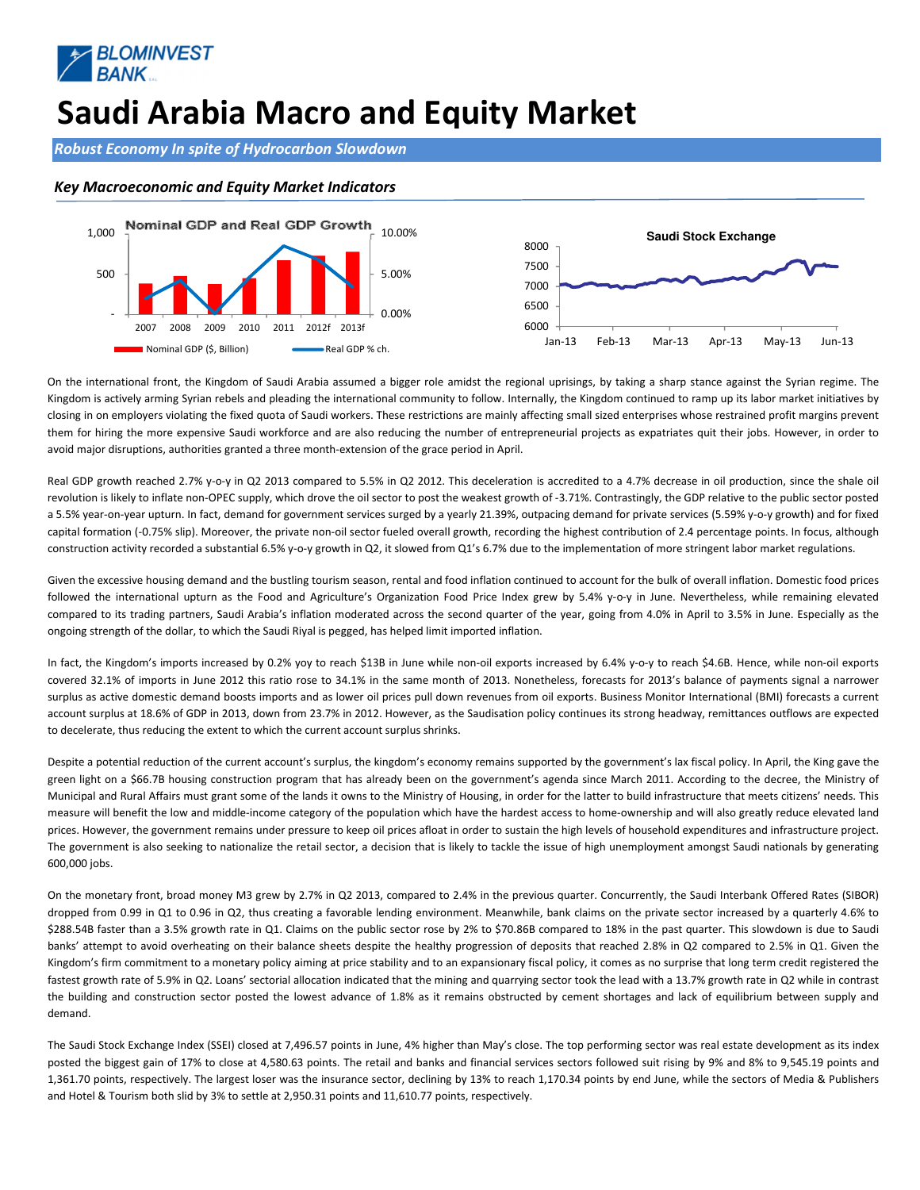![](_page_5_Picture_0.jpeg)

### Saudi Arabia Macro and Equity Market

Robust Economy In spite of Hydrocarbon Slowdown

#### Key Macroeconomic and Equity Market Indicators

![](_page_5_Figure_4.jpeg)

On the international front, the Kingdom of Saudi Arabia assumed a bigger role amidst the regional uprisings, by taking a sharp stance against the Syrian regime. The Kingdom is actively arming Syrian rebels and pleading the international community to follow. Internally, the Kingdom continued to ramp up its labor market initiatives by closing in on employers violating the fixed quota of Saudi workers. These restrictions are mainly affecting small sized enterprises whose restrained profit margins prevent them for hiring the more expensive Saudi workforce and are also reducing the number of entrepreneurial projects as expatriates quit their jobs. However, in order to avoid major disruptions, authorities granted a three month-extension of the grace period in April.

Real GDP growth reached 2.7% y-o-y in Q2 2013 compared to 5.5% in Q2 2012. This deceleration is accredited to a 4.7% decrease in oil production, since the shale oil revolution is likely to inflate non-OPEC supply, which drove the oil sector to post the weakest growth of -3.71%. Contrastingly, the GDP relative to the public sector posted a 5.5% year-on-year upturn. In fact, demand for government services surged by a yearly 21.39%, outpacing demand for private services (5.59% y-o-y growth) and for fixed capital formation (-0.75% slip). Moreover, the private non-oil sector fueled overall growth, recording the highest contribution of 2.4 percentage points. In focus, although construction activity recorded a substantial 6.5% y-o-y growth in Q2, it slowed from Q1's 6.7% due to the implementation of more stringent labor market regulations.

Given the excessive housing demand and the bustling tourism season, rental and food inflation continued to account for the bulk of overall inflation. Domestic food prices followed the international upturn as the Food and Agriculture's Organization Food Price Index grew by 5.4% y-o-y in June. Nevertheless, while remaining elevated compared to its trading partners, Saudi Arabia's inflation moderated across the second quarter of the year, going from 4.0% in April to 3.5% in June. Especially as the ongoing strength of the dollar, to which the Saudi Riyal is pegged, has helped limit imported inflation.

In fact, the Kingdom's imports increased by 0.2% yoy to reach \$13B in June while non-oil exports increased by 6.4% y-o-y to reach \$4.6B. Hence, while non-oil exports covered 32.1% of imports in June 2012 this ratio rose to 34.1% in the same month of 2013. Nonetheless, forecasts for 2013's balance of payments signal a narrower surplus as active domestic demand boosts imports and as lower oil prices pull down revenues from oil exports. Business Monitor International (BMI) forecasts a current account surplus at 18.6% of GDP in 2013, down from 23.7% in 2012. However, as the Saudisation policy continues its strong headway, remittances outflows are expected to decelerate, thus reducing the extent to which the current account surplus shrinks.

Despite a potential reduction of the current account's surplus, the kingdom's economy remains supported by the government's lax fiscal policy. In April, the King gave the green light on a \$66.7B housing construction program that has already been on the government's agenda since March 2011. According to the decree, the Ministry of Municipal and Rural Affairs must grant some of the lands it owns to the Ministry of Housing, in order for the latter to build infrastructure that meets citizens' needs. This measure will benefit the low and middle-income category of the population which have the hardest access to home-ownership and will also greatly reduce elevated land prices. However, the government remains under pressure to keep oil prices afloat in order to sustain the high levels of household expenditures and infrastructure project. The government is also seeking to nationalize the retail sector, a decision that is likely to tackle the issue of high unemployment amongst Saudi nationals by generating 600,000 jobs.

On the monetary front, broad money M3 grew by 2.7% in Q2 2013, compared to 2.4% in the previous quarter. Concurrently, the Saudi Interbank Offered Rates (SIBOR) dropped from 0.99 in Q1 to 0.96 in Q2, thus creating a favorable lending environment. Meanwhile, bank claims on the private sector increased by a quarterly 4.6% to \$288.54B faster than a 3.5% growth rate in Q1. Claims on the public sector rose by 2% to \$70.86B compared to 18% in the past quarter. This slowdown is due to Saudi banks' attempt to avoid overheating on their balance sheets despite the healthy progression of deposits that reached 2.8% in Q2 compared to 2.5% in Q1. Given the Kingdom's firm commitment to a monetary policy aiming at price stability and to an expansionary fiscal policy, it comes as no surprise that long term credit registered the fastest growth rate of 5.9% in Q2. Loans' sectorial allocation indicated that the mining and quarrying sector took the lead with a 13.7% growth rate in Q2 while in contrast the building and construction sector posted the lowest advance of 1.8% as it remains obstructed by cement shortages and lack of equilibrium between supply and demand.

The Saudi Stock Exchange Index (SSEI) closed at 7,496.57 points in June, 4% higher than May's close. The top performing sector was real estate development as its index posted the biggest gain of 17% to close at 4,580.63 points. The retail and banks and financial services sectors followed suit rising by 9% and 8% to 9,545.19 points and 1,361.70 points, respectively. The largest loser was the insurance sector, declining by 13% to reach 1,170.34 points by end June, while the sectors of Media & Publishers and Hotel & Tourism both slid by 3% to settle at 2,950.31 points and 11,610.77 points, respectively.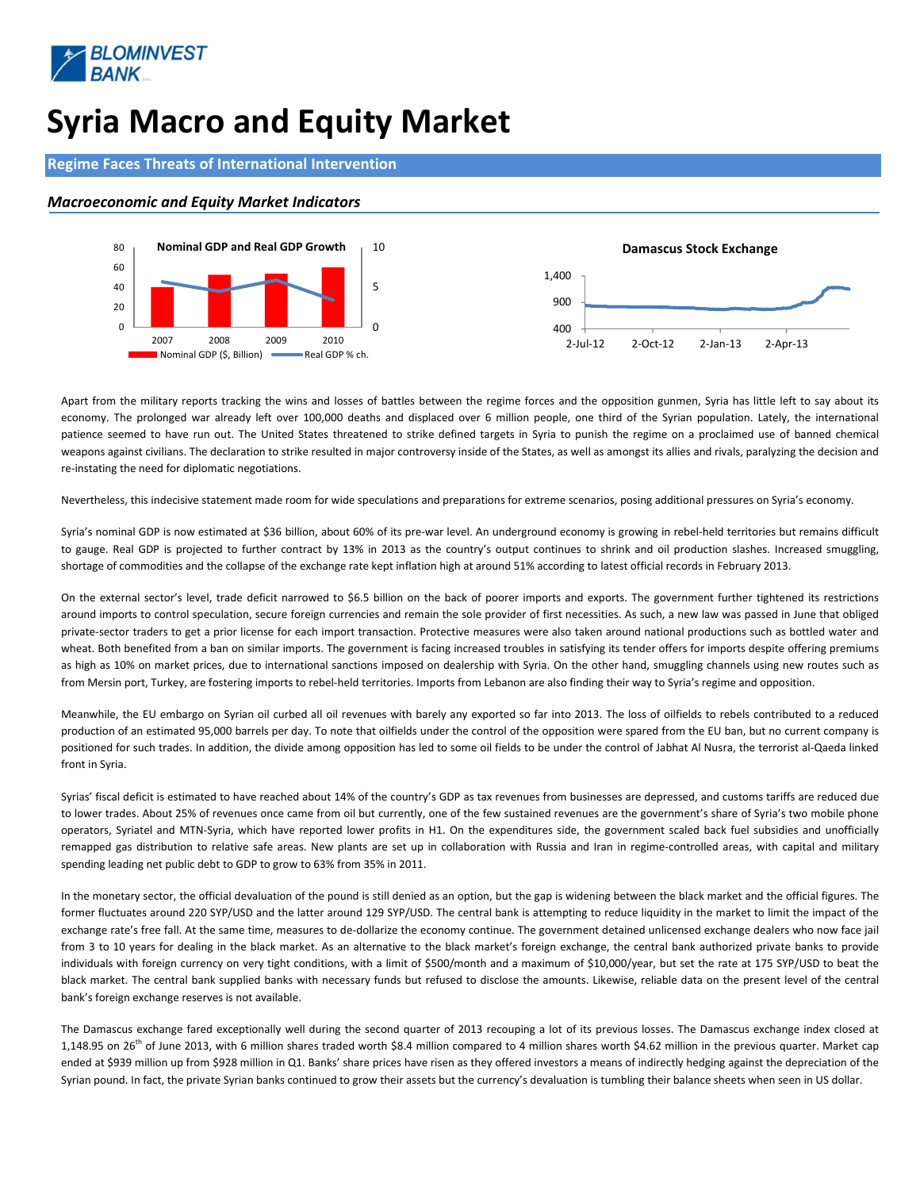![](_page_6_Picture_0.jpeg)

# Syria Macro and Equity Market

### Regime Faces Threats of International Intervention

#### Macroeconomic and Equity Market Indicators

![](_page_6_Figure_4.jpeg)

Apart from the military reports tracking the wins and losses of battles between the regime forces and the opposition gunmen, Syria has little left to say about its economy. The prolonged war already left over 100,000 deaths and displaced over 6 million people, one third of the Syrian population. Lately, the international patience seemed to have run out. The United States threatened to strike defined targets in Syria to punish the regime on a proclaimed use of banned chemical weapons against civilians. The declaration to strike resulted in major controversy inside of the States, as well as amongst its allies and rivals, paralyzing the decision and re-instating the need for diplomatic negotiations.

Nevertheless, this indecisive statement made room for wide speculations and preparations for extreme scenarios, posing additional pressures on Syria's economy.

Syria's nominal GDP is now estimated at \$36 billion, about 60% of its pre-war level. An underground economy is growing in rebel-held territories but remains difficult to gauge. Real GDP is projected to further contract by 13% in 2013 as the country's output continues to shrink and oil production slashes. Increased smuggling, shortage of commodities and the collapse of the exchange rate kept inflation high at around 51% according to latest official records in February 2013.

On the external sector's level, trade deficit narrowed to \$6.5 billion on the back of poorer imports and exports. The government further tightened its restrictions around imports to control speculation, secure foreign currencies and remain the sole provider of first necessities. As such, a new law was passed in June that obliged private-sector traders to get a prior license for each import transaction. Protective measures were also taken around national productions such as bottled water and wheat. Both benefited from a ban on similar imports. The government is facing increased troubles in satisfying its tender offers for imports despite offering premiums as high as 10% on market prices, due to international sanctions imposed on dealership with Syria. On the other hand, smuggling channels using new routes such as from Mersin port, Turkey, are fostering imports to rebel-held territories. Imports from Lebanon are also finding their way to Syria's regime and opposition.

Meanwhile, the EU embargo on Syrian oil curbed all oil revenues with barely any exported so far into 2013. The loss of oilfields to rebels contributed to a reduced production of an estimated 95,000 barrels per day. To note that oilfields under the control of the opposition were spared from the EU ban, but no current company is positioned for such trades. In addition, the divide among opposition has led to some oil fields to be under the control of Jabhat Al Nusra, the terrorist al-Qaeda linked front in Syria.

Syrias' fiscal deficit is estimated to have reached about 14% of the country's GDP as tax revenues from businesses are depressed, and customs tariffs are reduced due to lower trades. About 25% of revenues once came from oil but currently, one of the few sustained revenues are the government's share of Syria's two mobile phone operators, Syriatel and MTN-Syria, which have reported lower profits in H1. On the expenditures side, the government scaled back fuel subsidies and unofficially remapped gas distribution to relative safe areas. New plants are set up in collaboration with Russia and Iran in regime-controlled areas, with capital and military spending leading net public debt to GDP to grow to 63% from 35% in 2011.

In the monetary sector, the official devaluation of the pound is still denied as an option, but the gap is widening between the black market and the official figures. The former fluctuates around 220 SYP/USD and the latter around 129 SYP/USD. The central bank is attempting to reduce liquidity in the market to limit the impact of the exchange rate's free fall. At the same time, measures to de-dollarize the economy continue. The government detained unlicensed exchange dealers who now face jail from 3 to 10 years for dealing in the black market. As an alternative to the black market's foreign exchange, the central bank authorized private banks to provide individuals with foreign currency on very tight conditions, with a limit of \$500/month and a maximum of \$10,000/year, but set the rate at 175 SYP/USD to beat the black market. The central bank supplied banks with necessary funds but refused to disclose the amounts. Likewise, reliable data on the present level of the central bank's foreign exchange reserves is not available.

The Damascus exchange fared exceptionally well during the second quarter of 2013 recouping a lot of its previous losses. The Damascus exchange index closed at 1,148.95 on 26<sup>th</sup> of June 2013, with 6 million shares traded worth \$8.4 million compared to 4 million shares worth \$4.62 million in the previous quarter. Market cap ended at \$939 million up from \$928 million in Q1. Banks' share prices have risen as they offered investors a means of indirectly hedging against the depreciation of the Syrian pound. In fact, the private Syrian banks continued to grow their assets but the currency's devaluation is tumbling their balance sheets when seen in US dollar.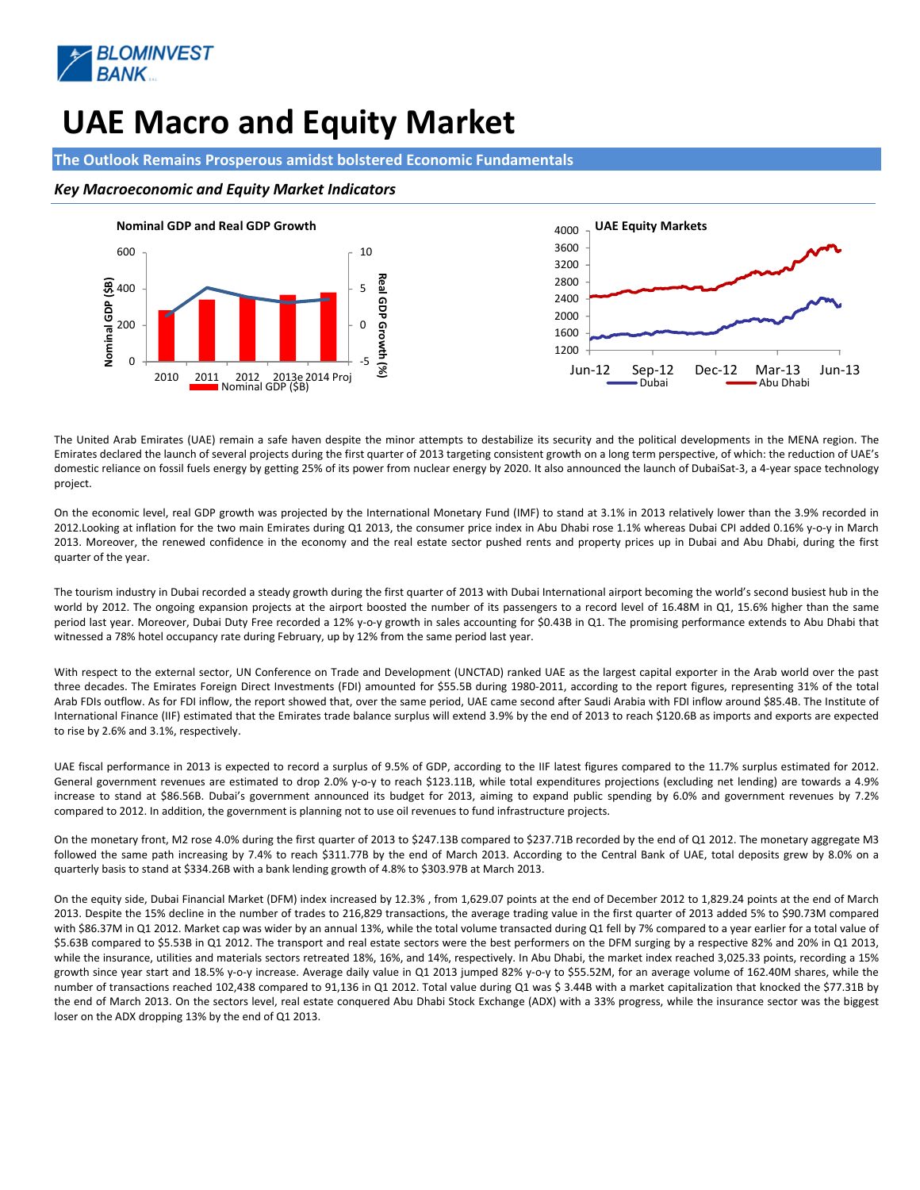![](_page_7_Picture_0.jpeg)

# UAE Macro and Equity Market

#### The Outlook Remains Prosperous amidst bolstered Economic Fundamentals

#### Key Macroeconomic and Equity Market Indicators

![](_page_7_Figure_4.jpeg)

The United Arab Emirates (UAE) remain a safe haven despite the minor attempts to destabilize its security and the political developments in the MENA region. The Emirates declared the launch of several projects during the first quarter of 2013 targeting consistent growth on a long term perspective, of which: the reduction of UAE's domestic reliance on fossil fuels energy by getting 25% of its power from nuclear energy by 2020. It also announced the launch of DubaiSat-3, a 4-year space technology project.

On the economic level, real GDP growth was projected by the International Monetary Fund (IMF) to stand at 3.1% in 2013 relatively lower than the 3.9% recorded in 2012.Looking at inflation for the two main Emirates during Q1 2013, the consumer price index in Abu Dhabi rose 1.1% whereas Dubai CPI added 0.16% y-o-y in March 2013. Moreover, the renewed confidence in the economy and the real estate sector pushed rents and property prices up in Dubai and Abu Dhabi, during the first quarter of the year.

The tourism industry in Dubai recorded a steady growth during the first quarter of 2013 with Dubai International airport becoming the world's second busiest hub in the world by 2012. The ongoing expansion projects at the airport boosted the number of its passengers to a record level of 16.48M in Q1, 15.6% higher than the same period last year. Moreover, Dubai Duty Free recorded a 12% y-o-y growth in sales accounting for \$0.43B in Q1. The promising performance extends to Abu Dhabi that witnessed a 78% hotel occupancy rate during February, up by 12% from the same period last year.

With respect to the external sector, UN Conference on Trade and Development (UNCTAD) ranked UAE as the largest capital exporter in the Arab world over the past three decades. The Emirates Foreign Direct Investments (FDI) amounted for \$55.5B during 1980-2011, according to the report figures, representing 31% of the total Arab FDIs outflow. As for FDI inflow, the report showed that, over the same period, UAE came second after Saudi Arabia with FDI inflow around \$85.4B. The Institute of International Finance (IIF) estimated that the Emirates trade balance surplus will extend 3.9% by the end of 2013 to reach \$120.6B as imports and exports are expected to rise by 2.6% and 3.1%, respectively.

UAE fiscal performance in 2013 is expected to record a surplus of 9.5% of GDP, according to the IIF latest figures compared to the 11.7% surplus estimated for 2012. General government revenues are estimated to drop 2.0% y-o-y to reach \$123.11B, while total expenditures projections (excluding net lending) are towards a 4.9% increase to stand at \$86.56B. Dubai's government announced its budget for 2013, aiming to expand public spending by 6.0% and government revenues by 7.2% compared to 2012. In addition, the government is planning not to use oil revenues to fund infrastructure projects.

On the monetary front, M2 rose 4.0% during the first quarter of 2013 to \$247.13B compared to \$237.71B recorded by the end of Q1 2012. The monetary aggregate M3 followed the same path increasing by 7.4% to reach \$311.77B by the end of March 2013. According to the Central Bank of UAE, total deposits grew by 8.0% on a quarterly basis to stand at \$334.26B with a bank lending growth of 4.8% to \$303.97B at March 2013.

On the equity side, Dubai Financial Market (DFM) index increased by 12.3% , from 1,629.07 points at the end of December 2012 to 1,829.24 points at the end of March 2013. Despite the 15% decline in the number of trades to 216,829 transactions, the average trading value in the first quarter of 2013 added 5% to \$90.73M compared with \$86.37M in Q1 2012. Market cap was wider by an annual 13%, while the total volume transacted during Q1 fell by 7% compared to a year earlier for a total value of \$5.63B compared to \$5.53B in Q1 2012. The transport and real estate sectors were the best performers on the DFM surging by a respective 82% and 20% in Q1 2013, while the insurance, utilities and materials sectors retreated 18%, 16%, and 14%, respectively. In Abu Dhabi, the market index reached 3,025.33 points, recording a 15% growth since year start and 18.5% y-o-y increase. Average daily value in Q1 2013 jumped 82% y-o-y to \$55.52M, for an average volume of 162.40M shares, while the number of transactions reached 102,438 compared to 91,136 in Q1 2012. Total value during Q1 was \$ 3.44B with a market capitalization that knocked the \$77.31B by the end of March 2013. On the sectors level, real estate conquered Abu Dhabi Stock Exchange (ADX) with a 33% progress, while the insurance sector was the biggest loser on the ADX dropping 13% by the end of Q1 2013.